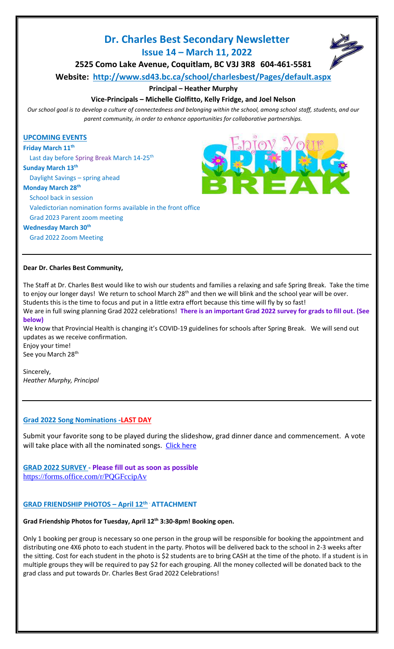# **Dr. Charles Best Secondary Newsletter Issue 14 – March 11, 2022**



**2525 Como Lake Avenue, Coquitlam, BC V3J 3R8 604-461-5581 Website: <http://www.sd43.bc.ca/school/charlesbest/Pages/default.aspx>**

# **Principal – Heather Murphy**

# **Vice-Principals – Michelle Ciolfitto, Kelly Fridge, and Joel Nelson**

*Our school goal is to develop a culture of connectedness and belonging within the school, among school staff, students, and our parent community, in order to enhance opportunities for collaborative partnerships.*

## **UPCOMING EVENTS**

**Friday March 11 th**

Last day before Spring Break March 14-25<sup>th</sup>

# **Sunday March 13th**

Daylight Savings – spring ahead

#### **Monday March 28th**

School back in session

Valedictorian nomination forms available in the front office

Grad 2023 Parent zoom meeting

#### **Wednesday March 30th**

Grad 2022 Zoom Meeting

#### **Dear Dr. Charles Best Community,**

The Staff at Dr. Charles Best would like to wish our students and families a relaxing and safe Spring Break. Take the time to enjoy our longer days! We return to school March 28<sup>th</sup> and then we will blink and the school year will be over. Students this is the time to focus and put in a little extra effort because this time will fly by so fast! We are in full swing planning Grad 2022 celebrations! **There is an important Grad 2022 survey for grads to fill out. (See below)**

We know that Provincial Health is changing it's COVID-19 guidelines for schools after Spring Break. We will send out updates as we receive confirmation.

Enjoy your time! See you March 28<sup>th</sup>

Sincerely, *Heather Murphy, Principal*

# **Grad 2022 Song Nominations -LAST DAY**

Submit your favorite song to be played during the slideshow, grad dinner dance and commencement. A vote will take place with all the nominated songs. [Click here](https://forms.office.com/Pages/ResponsePage.aspx?id=74xl2ZICUkKZJWRC3iSkSyP5X7SU7zdOgsBhxaP0AP1URE1HWEVTTDlOVlRDUU5aMDhOTVQ5ODhUTC4u)

# **GRAD 2022 SURVEY - Please fill out as soon as possible** <https://forms.office.com/r/PQGFccipAv>

# **GRAD FRIENDSHIP PHOTOS – April 12th** - **ATTACHMENT**

# **Grad Friendship Photos for Tuesday, April 12th 3:30-8pm! Booking open.**

Only 1 booking per group is necessary so one person in the group will be responsible for booking the appointment and distributing one 4X6 photo to each student in the party. Photos will be delivered back to the school in 2-3 weeks after the sitting. Cost for each student in the photo is \$2 students are to bring CASH at the time of the photo. If a student is in multiple groups they will be required to pay \$2 for each grouping. All the money collected will be donated back to the grad class and put towards Dr. Charles Best Grad 2022 Celebrations!

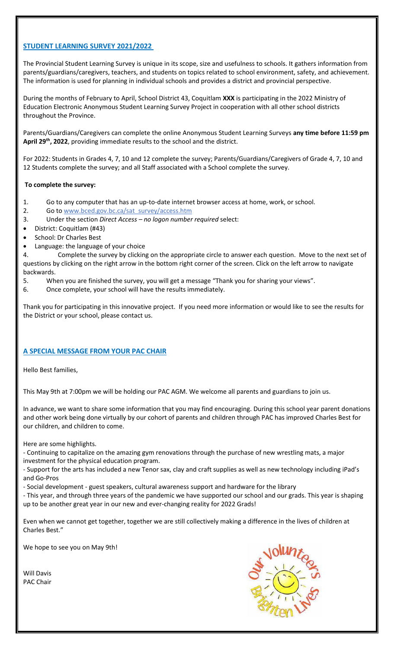# **STUDENT LEARNING SURVEY 2021/2022**

The Provincial Student Learning Survey is unique in its scope, size and usefulness to schools. It gathers information from parents/guardians/caregivers, teachers, and students on topics related to school environment, safety, and achievement. The information is used for planning in individual schools and provides a district and provincial perspective.

During the months of February to April, School District 43, Coquitlam **XXX** is participating in the 2022 Ministry of Education Electronic Anonymous Student Learning Survey Project in cooperation with all other school districts throughout the Province.

Parents/Guardians/Caregivers can complete the online Anonymous Student Learning Surveys **any time before 11:59 pm April 29th, 2022**, providing immediate results to the school and the district.

For 2022: Students in Grades 4, 7, 10 and 12 complete the survey; Parents/Guardians/Caregivers of Grade 4, 7, 10 and 12 Students complete the survey; and all Staff associated with a School complete the survey.

# **To complete the survey:**

- 1. Go to any computer that has an up-to-date internet browser access at home, work, or school.
- 2. Go to www.bced.gov.bc.ca/sat\_survey/access.htm
- 3. Under the section *Direct Access – no logon number required* select:
- District: Coquitlam (#43)
- School: Dr Charles Best
- Language: the language of your choice

4. Complete the survey by clicking on the appropriate circle to answer each question. Move to the next set of questions by clicking on the right arrow in the bottom right corner of the screen. Click on the left arrow to navigate backwards.

- 5. When you are finished the survey, you will get a message "Thank you for sharing your views".
- 6. Once complete, your school will have the results immediately.

Thank you for participating in this innovative project. If you need more information or would like to see the results for the District or your school, please contact us.

# **A SPECIAL MESSAGE FROM YOUR PAC CHAIR**

Hello Best families,

This May 9th at 7:00pm we will be holding our PAC AGM. We welcome all parents and guardians to join us.

In advance, we want to share some information that you may find encouraging. During this school year parent donations and other work being done virtually by our cohort of parents and children through PAC has improved Charles Best for our children, and children to come.

Here are some highlights.

- Continuing to capitalize on the amazing gym renovations through the purchase of new wrestling mats, a major investment for the physical education program.

- Support for the arts has included a new Tenor sax, clay and craft supplies as well as new technology including iPad's and Go-Pros

- Social development - guest speakers, cultural awareness support and hardware for the library

- This year, and through three years of the pandemic we have supported our school and our grads. This year is shaping up to be another great year in our new and ever-changing reality for 2022 Grads!

Even when we cannot get together, together we are still collectively making a difference in the lives of children at Charles Best."

We hope to see you on May 9th!

Will Davis PAC Chair

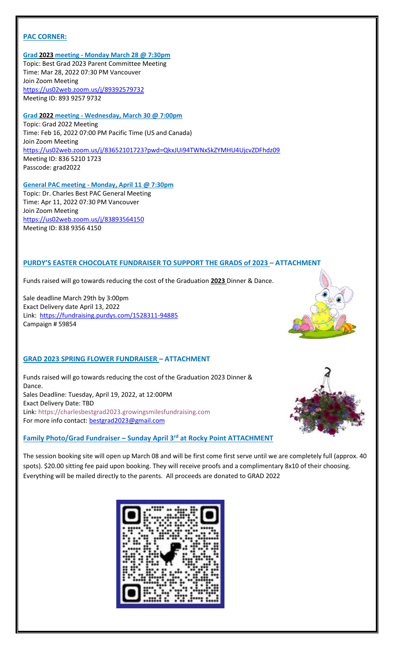## **PAC CORNER:**

**Grad 2023 meeting - Monday March 28 @ 7:30pm** Topic: Best Grad 2023 Parent Committee Meeting Time: Mar 28, 2022 07:30 PM Vancouver Join Zoom Meeting <https://us02web.zoom.us/j/89392579732> Meeting ID: 893 9257 9732

**Grad 2022 meeting - Wednesday, March 30 @ 7:00pm** Topic: Grad 2022 Meeting Time: Feb 16, 2022 07:00 PM Pacific Time (US and Canada) Join Zoom Meeting <https://us02web.zoom.us/j/83652101723?pwd=QkxJUi94TWNxSkZYMHU4UjcvZDFhdz09> Meeting ID: 836 5210 1723 Passcode: grad2022

**General PAC meeting - Monday, April 11 @ 7:30pm** Topic: Dr. Charles Best PAC General Meeting Time: Apr 11, 2022 07:30 PM Vancouver Join Zoom Meeting <https://us02web.zoom.us/j/83893564150> Meeting ID: 838 9356 4150

#### **PURDY'S EASTER CHOCOLATE FUNDRAISER TO SUPPORT THE GRADS of 2023 – ATTACHMENT**

Funds raised will go towards reducing the cost of the Graduation **2023** Dinner & Dance.

Sale deadline March 29th by 3:00pm Exact Delivery date April 13, 2022 Link: <https://fundraising.purdys.com/1528311-94885> Campaign # 59854

# **GRAD 2023 SPRING FLOWER FUNDRAISER – ATTACHMENT**

Funds raised will go towards reducing the cost of the Graduation 2023 Dinner & Dance. Sales Deadline: Tuesday, April 19, 2022, at 12:00PM Exact Delivery Date: TBD Link: https://charlesbestgrad2023.growingsmilesfundraising.com For more info contact: [bestgrad2023@gmail.com](mailto:bestgrad2023@gmail.com)

#### **Family Photo/Grad Fundraiser – Sunday April 3rd at Rocky Point ATTACHMENT**



The session booking site will open up March 08 and will be first come first serve until we are completely full (approx. 40 spots). \$20.00 sitting fee paid upon booking. They will receive proofs and a complimentary 8x10 of their choosing. Everything will be mailed directly to the parents. All proceeds are donated to GRAD 2022